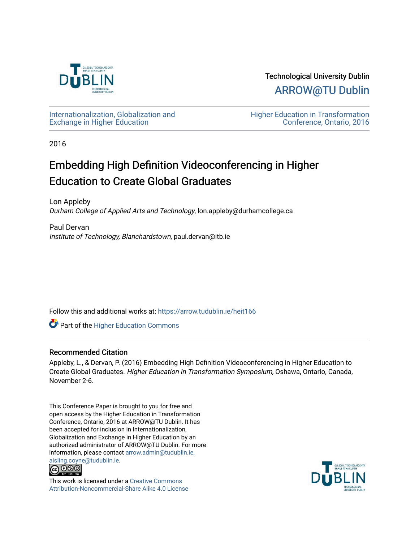

Technological University Dublin [ARROW@TU Dublin](https://arrow.tudublin.ie/) 

[Internationalization, Globalization and](https://arrow.tudublin.ie/heit166)  [Exchange in Higher Education](https://arrow.tudublin.ie/heit166)

[Higher Education in Transformation](https://arrow.tudublin.ie/tuheit16)  [Conference, Ontario, 2016](https://arrow.tudublin.ie/tuheit16) 

2016

# Embedding High Definition Videoconferencing in Higher Education to Create Global Graduates

Lon Appleby Durham College of Applied Arts and Technology, lon.appleby@durhamcollege.ca

Paul Dervan Institute of Technology, Blanchardstown, paul.dervan@itb.ie

Follow this and additional works at: [https://arrow.tudublin.ie/heit166](https://arrow.tudublin.ie/heit166?utm_source=arrow.tudublin.ie%2Fheit166%2F1&utm_medium=PDF&utm_campaign=PDFCoverPages)

**Part of the Higher Education Commons** 

# Recommended Citation

Appleby, L., & Dervan, P. (2016) Embedding High Definition Videoconferencing in Higher Education to Create Global Graduates. Higher Education in Transformation Symposium, Oshawa, Ontario, Canada, November 2-6.

This Conference Paper is brought to you for free and open access by the Higher Education in Transformation Conference, Ontario, 2016 at ARROW@TU Dublin. It has been accepted for inclusion in Internationalization, Globalization and Exchange in Higher Education by an authorized administrator of ARROW@TU Dublin. For more information, please contact [arrow.admin@tudublin.ie,](mailto:arrow.admin@tudublin.ie,%20aisling.coyne@tudublin.ie) 



This work is licensed under a [Creative Commons](http://creativecommons.org/licenses/by-nc-sa/4.0/) [Attribution-Noncommercial-Share Alike 4.0 License](http://creativecommons.org/licenses/by-nc-sa/4.0/)

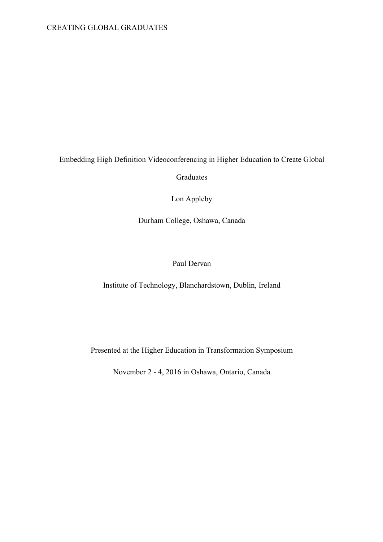# CREATING GLOBAL GRADUATES

# Embedding High Definition Videoconferencing in Higher Education to Create Global

Graduates

Lon Appleby

Durham College, Oshawa, Canada

# Paul Dervan

Institute of Technology, Blanchardstown, Dublin, Ireland

Presented at the Higher Education in Transformation Symposium

November 2 - 4, 2016 in Oshawa, Ontario, Canada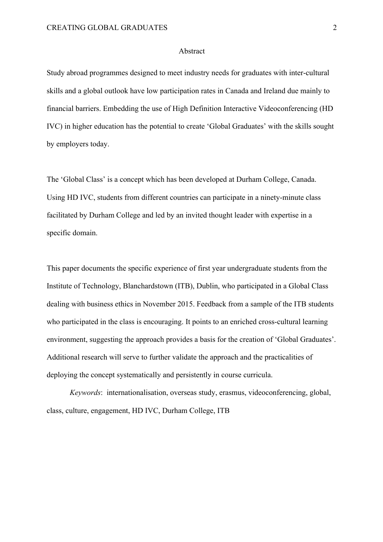#### Abstract

Study abroad programmes designed to meet industry needs for graduates with inter-cultural skills and a global outlook have low participation rates in Canada and Ireland due mainly to financial barriers. Embedding the use of High Definition Interactive Videoconferencing (HD IVC) in higher education has the potential to create 'Global Graduates' with the skills sought by employers today.

The 'Global Class' is a concept which has been developed at Durham College, Canada. Using HD IVC, students from different countries can participate in a ninety-minute class facilitated by Durham College and led by an invited thought leader with expertise in a specific domain.

This paper documents the specific experience of first year undergraduate students from the Institute of Technology, Blanchardstown (ITB), Dublin, who participated in a Global Class dealing with business ethics in November 2015. Feedback from a sample of the ITB students who participated in the class is encouraging. It points to an enriched cross-cultural learning environment, suggesting the approach provides a basis for the creation of 'Global Graduates'. Additional research will serve to further validate the approach and the practicalities of deploying the concept systematically and persistently in course curricula.

*Keywords*: internationalisation, overseas study, erasmus, videoconferencing, global, class, culture, engagement, HD IVC, Durham College, ITB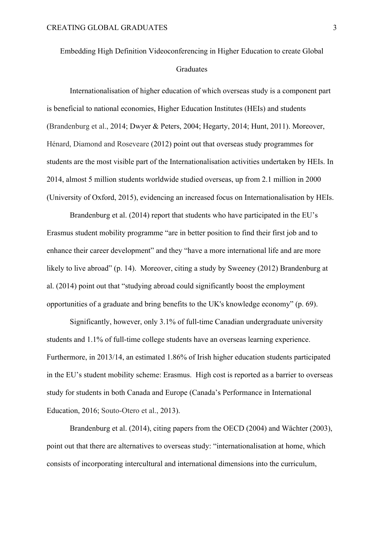# Embedding High Definition Videoconferencing in Higher Education to create Global **Graduates**

Internationalisation of higher education of which overseas study is a component part is beneficial to national economies, Higher Education Institutes (HEIs) and students (Brandenburg et al., 2014; Dwyer & Peters, 2004; Hegarty, 2014; Hunt, 2011). Moreover, Hénard, Diamond and Roseveare (2012) point out that overseas study programmes for students are the most visible part of the Internationalisation activities undertaken by HEIs. In 2014, almost 5 million students worldwide studied overseas, up from 2.1 million in 2000 (University of Oxford, 2015), evidencing an increased focus on Internationalisation by HEIs.

Brandenburg et al. (2014) report that students who have participated in the EU's Erasmus student mobility programme "are in better position to find their first job and to enhance their career development" and they "have a more international life and are more likely to live abroad" (p. 14). Moreover, citing a study by Sweeney (2012) Brandenburg at al. (2014) point out that "studying abroad could significantly boost the employment opportunities of a graduate and bring benefits to the UK's knowledge economy" (p. 69).

Significantly, however, only 3.1% of full-time Canadian undergraduate university students and 1.1% of full-time college students have an overseas learning experience. Furthermore, in 2013/14, an estimated 1.86% of Irish higher education students participated in the EU's student mobility scheme: Erasmus. High cost is reported as a barrier to overseas study for students in both Canada and Europe (Canada's Performance in International Education, 2016; Souto-Otero et al., 2013).

Brandenburg et al. (2014), citing papers from the OECD (2004) and Wächter (2003), point out that there are alternatives to overseas study: "internationalisation at home, which consists of incorporating intercultural and international dimensions into the curriculum,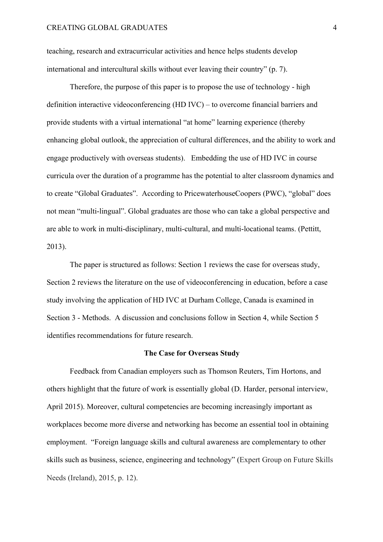teaching, research and extracurricular activities and hence helps students develop international and intercultural skills without ever leaving their country" (p. 7).

Therefore, the purpose of this paper is to propose the use of technology - high definition interactive videoconferencing (HD IVC) – to overcome financial barriers and provide students with a virtual international "at home" learning experience (thereby enhancing global outlook, the appreciation of cultural differences, and the ability to work and engage productively with overseas students). Embedding the use of HD IVC in course curricula over the duration of a programme has the potential to alter classroom dynamics and to create "Global Graduates". According to PricewaterhouseCoopers (PWC), "global" does not mean "multi-lingual". Global graduates are those who can take a global perspective and are able to work in multi-disciplinary, multi-cultural, and multi-locational teams. (Pettitt, 2013).

The paper is structured as follows: Section 1 reviews the case for overseas study, Section 2 reviews the literature on the use of videoconferencing in education, before a case study involving the application of HD IVC at Durham College, Canada is examined in Section 3 - Methods. A discussion and conclusions follow in Section 4, while Section 5 identifies recommendations for future research.

#### **The Case for Overseas Study**

Feedback from Canadian employers such as Thomson Reuters, Tim Hortons, and others highlight that the future of work is essentially global (D. Harder, personal interview, April 2015). Moreover, cultural competencies are becoming increasingly important as workplaces become more diverse and networking has become an essential tool in obtaining employment. "Foreign language skills and cultural awareness are complementary to other skills such as business, science, engineering and technology" (Expert Group on Future Skills Needs (Ireland), 2015, p. 12).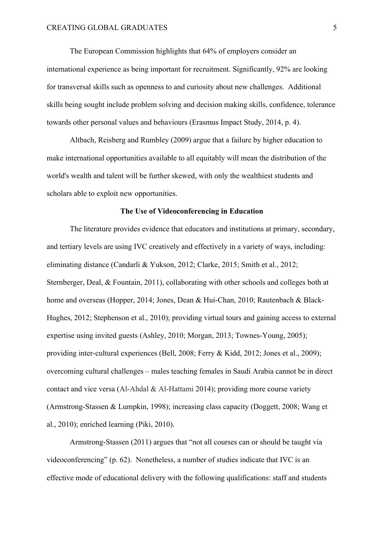The European Commission highlights that 64% of employers consider an international experience as being important for recruitment. Significantly, 92% are looking for transversal skills such as openness to and curiosity about new challenges. Additional skills being sought include problem solving and decision making skills, confidence, tolerance towards other personal values and behaviours (Erasmus Impact Study, 2014, p. 4).

Altbach, Reisberg and Rumbley (2009) argue that a failure by higher education to make international opportunities available to all equitably will mean the distribution of the world's wealth and talent will be further skewed, with only the wealthiest students and scholars able to exploit new opportunities.

#### **The Use of Videoconferencing in Education**

The literature provides evidence that educators and institutions at primary, secondary, and tertiary levels are using IVC creatively and effectively in a variety of ways, including: eliminating distance (Candarli & Yukson, 2012; Clarke, 2015; Smith et al., 2012; Sternberger, Deal, & Fountain, 2011), collaborating with other schools and colleges both at home and overseas (Hopper, 2014; Jones, Dean & Hui-Chan, 2010; Rautenbach & Black-Hughes, 2012; Stephenson et al., 2010); providing virtual tours and gaining access to external expertise using invited guests (Ashley, 2010; Morgan, 2013; Townes-Young, 2005); providing inter-cultural experiences (Bell, 2008; Ferry & Kidd, 2012; Jones et al., 2009); overcoming cultural challenges – males teaching females in Saudi Arabia cannot be in direct contact and vice versa (Al-Ahdal & Al-Hattami 2014); providing more course variety (Armstrong-Stassen & Lumpkin, 1998); increasing class capacity (Doggett, 2008; Wang et al., 2010); enriched learning (Piki, 2010).

Armstrong-Stassen (2011) argues that "not all courses can or should be taught via videoconferencing" (p. 62). Nonetheless, a number of studies indicate that IVC is an effective mode of educational delivery with the following qualifications: staff and students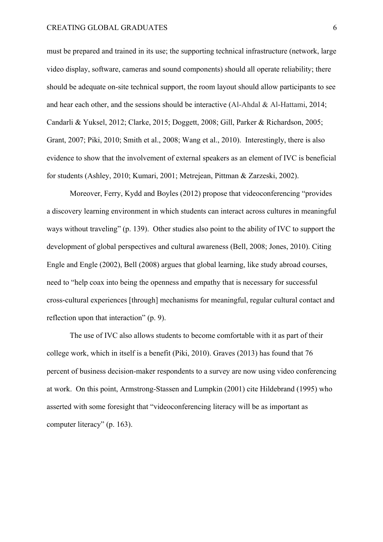#### CREATING GLOBAL GRADUATES 6

must be prepared and trained in its use; the supporting technical infrastructure (network, large video display, software, cameras and sound components) should all operate reliability; there should be adequate on-site technical support, the room layout should allow participants to see and hear each other, and the sessions should be interactive (Al-Ahdal & Al-Hattami, 2014; Candarli & Yuksel, 2012; Clarke, 2015; Doggett, 2008; Gill, Parker & Richardson, 2005; Grant, 2007; Piki, 2010; Smith et al., 2008; Wang et al., 2010). Interestingly, there is also evidence to show that the involvement of external speakers as an element of IVC is beneficial for students (Ashley, 2010; Kumari, 2001; Metrejean, Pittman & Zarzeski, 2002).

Moreover, Ferry, Kydd and Boyles (2012) propose that videoconferencing "provides a discovery learning environment in which students can interact across cultures in meaningful ways without traveling" (p. 139). Other studies also point to the ability of IVC to support the development of global perspectives and cultural awareness (Bell, 2008; Jones, 2010). Citing Engle and Engle (2002), Bell (2008) argues that global learning, like study abroad courses, need to "help coax into being the openness and empathy that is necessary for successful cross-cultural experiences [through] mechanisms for meaningful, regular cultural contact and reflection upon that interaction" (p. 9).

The use of IVC also allows students to become comfortable with it as part of their college work, which in itself is a benefit (Piki, 2010). Graves (2013) has found that 76 percent of business decision-maker respondents to a survey are now using video conferencing at work. On this point, Armstrong-Stassen and Lumpkin (2001) cite Hildebrand (1995) who asserted with some foresight that "videoconferencing literacy will be as important as computer literacy" (p. 163).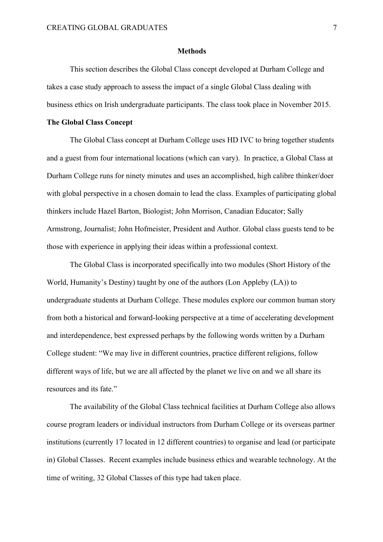#### **Methods**

This section describes the Global Class concept developed at Durham College and takes a case study approach to assess the impact of a single Global Class dealing with business ethics on Irish undergraduate participants. The class took place in November 2015.

#### **The Global Class Concept**

The Global Class concept at Durham College uses HD IVC to bring together students and a guest from four international locations (which can vary). In practice, a Global Class at Durham College runs for ninety minutes and uses an accomplished, high calibre thinker/doer with global perspective in a chosen domain to lead the class. Examples of participating global thinkers include Hazel Barton, Biologist; John Morrison, Canadian Educator; Sally Armstrong, Journalist; John Hofmeister, President and Author. Global class guests tend to be those with experience in applying their ideas within a professional context.

The Global Class is incorporated specifically into two modules (Short History of the World, Humanity's Destiny) taught by one of the authors (Lon Appleby (LA)) to undergraduate students at Durham College. These modules explore our common human story from both a historical and forward-looking perspective at a time of accelerating development and interdependence, best expressed perhaps by the following words written by a Durham College student: "We may live in different countries, practice different religions, follow different ways of life, but we are all affected by the planet we live on and we all share its resources and its fate."

The availability of the Global Class technical facilities at Durham College also allows course program leaders or individual instructors from Durham College or its overseas partner institutions (currently 17 located in 12 different countries) to organise and lead (or participate in) Global Classes. Recent examples include business ethics and wearable technology. At the time of writing, 32 Global Classes of this type had taken place.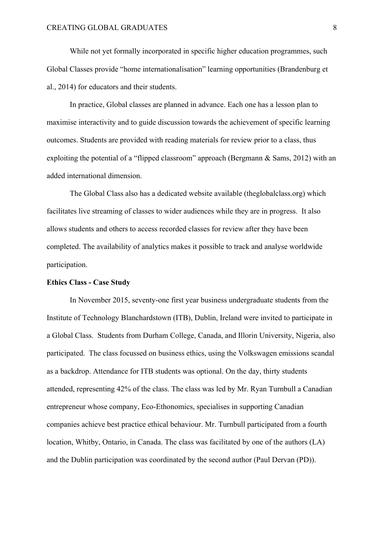While not yet formally incorporated in specific higher education programmes, such Global Classes provide "home internationalisation" learning opportunities (Brandenburg et al., 2014) for educators and their students.

In practice, Global classes are planned in advance. Each one has a lesson plan to maximise interactivity and to guide discussion towards the achievement of specific learning outcomes. Students are provided with reading materials for review prior to a class, thus exploiting the potential of a "flipped classroom" approach (Bergmann & Sams, 2012) with an added international dimension.

The Global Class also has a dedicated website available (theglobalclass.org) which facilitates live streaming of classes to wider audiences while they are in progress. It also allows students and others to access recorded classes for review after they have been completed. The availability of analytics makes it possible to track and analyse worldwide participation.

#### **Ethics Class - Case Study**

In November 2015, seventy-one first year business undergraduate students from the Institute of Technology Blanchardstown (ITB), Dublin, Ireland were invited to participate in a Global Class. Students from Durham College, Canada, and Illorin University, Nigeria, also participated. The class focussed on business ethics, using the Volkswagen emissions scandal as a backdrop. Attendance for ITB students was optional. On the day, thirty students attended, representing 42% of the class. The class was led by Mr. Ryan Turnbull a Canadian entrepreneur whose company, Eco-Ethonomics, specialises in supporting Canadian companies achieve best practice ethical behaviour. Mr. Turnbull participated from a fourth location, Whitby, Ontario, in Canada. The class was facilitated by one of the authors (LA) and the Dublin participation was coordinated by the second author (Paul Dervan (PD)).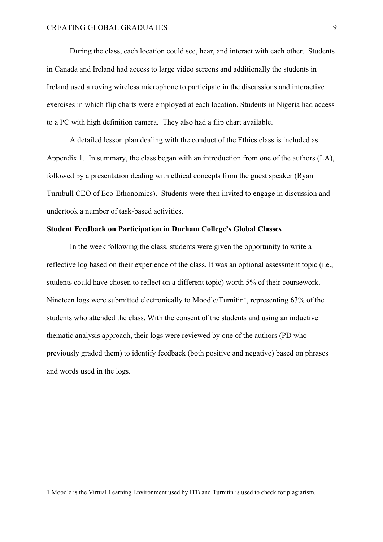During the class, each location could see, hear, and interact with each other. Students in Canada and Ireland had access to large video screens and additionally the students in Ireland used a roving wireless microphone to participate in the discussions and interactive exercises in which flip charts were employed at each location. Students in Nigeria had access to a PC with high definition camera. They also had a flip chart available.

A detailed lesson plan dealing with the conduct of the Ethics class is included as Appendix 1. In summary, the class began with an introduction from one of the authors (LA), followed by a presentation dealing with ethical concepts from the guest speaker (Ryan Turnbull CEO of Eco-Ethonomics). Students were then invited to engage in discussion and undertook a number of task-based activities.

## **Student Feedback on Participation in Durham College's Global Classes**

In the week following the class, students were given the opportunity to write a reflective log based on their experience of the class. It was an optional assessment topic (i.e., students could have chosen to reflect on a different topic) worth 5% of their coursework. Nineteen logs were submitted electronically to Moodle/Turnitin<sup>1</sup>, representing 63% of the students who attended the class. With the consent of the students and using an inductive thematic analysis approach, their logs were reviewed by one of the authors (PD who previously graded them) to identify feedback (both positive and negative) based on phrases and words used in the logs.

l

<sup>1</sup> Moodle is the Virtual Learning Environment used by ITB and Turnitin is used to check for plagiarism.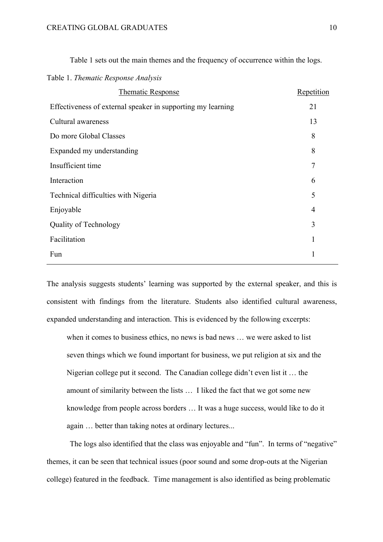| Table 1. Thematic Response Analysis                         |              |
|-------------------------------------------------------------|--------------|
| <b>Thematic Response</b>                                    | Repetition   |
| Effectiveness of external speaker in supporting my learning | 21           |
| Cultural awareness                                          | 13           |
| Do more Global Classes                                      | 8            |
| Expanded my understanding                                   | 8            |
| Insufficient time                                           | 7            |
| Interaction                                                 | 6            |
| Technical difficulties with Nigeria                         | 5            |
| Enjoyable                                                   | 4            |
| Quality of Technology                                       | 3            |
| Facilitation                                                | $\mathbf{1}$ |
| Fun                                                         | 1            |
|                                                             |              |

Table 1 sets out the main themes and the frequency of occurrence within the logs.

The analysis suggests students' learning was supported by the external speaker, and this is consistent with findings from the literature. Students also identified cultural awareness, expanded understanding and interaction. This is evidenced by the following excerpts:

when it comes to business ethics, no news is bad news … we were asked to list seven things which we found important for business, we put religion at six and the Nigerian college put it second. The Canadian college didn't even list it … the amount of similarity between the lists … I liked the fact that we got some new knowledge from people across borders … It was a huge success, would like to do it again … better than taking notes at ordinary lectures...

The logs also identified that the class was enjoyable and "fun". In terms of "negative" themes, it can be seen that technical issues (poor sound and some drop-outs at the Nigerian college) featured in the feedback. Time management is also identified as being problematic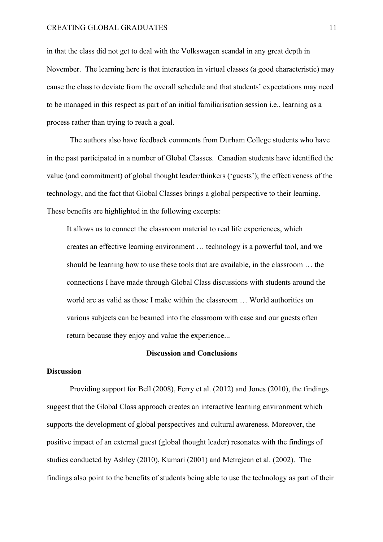#### CREATING GLOBAL GRADUATES 11

in that the class did not get to deal with the Volkswagen scandal in any great depth in November. The learning here is that interaction in virtual classes (a good characteristic) may cause the class to deviate from the overall schedule and that students' expectations may need to be managed in this respect as part of an initial familiarisation session i.e., learning as a process rather than trying to reach a goal.

The authors also have feedback comments from Durham College students who have in the past participated in a number of Global Classes. Canadian students have identified the value (and commitment) of global thought leader/thinkers ('guests'); the effectiveness of the technology, and the fact that Global Classes brings a global perspective to their learning. These benefits are highlighted in the following excerpts:

It allows us to connect the classroom material to real life experiences, which creates an effective learning environment … technology is a powerful tool, and we should be learning how to use these tools that are available, in the classroom … the connections I have made through Global Class discussions with students around the world are as valid as those I make within the classroom … World authorities on various subjects can be beamed into the classroom with ease and our guests often return because they enjoy and value the experience...

# **Discussion and Conclusions**

#### **Discussion**

Providing support for Bell (2008), Ferry et al. (2012) and Jones (2010), the findings suggest that the Global Class approach creates an interactive learning environment which supports the development of global perspectives and cultural awareness. Moreover, the positive impact of an external guest (global thought leader) resonates with the findings of studies conducted by Ashley (2010), Kumari (2001) and Metrejean et al. (2002). The findings also point to the benefits of students being able to use the technology as part of their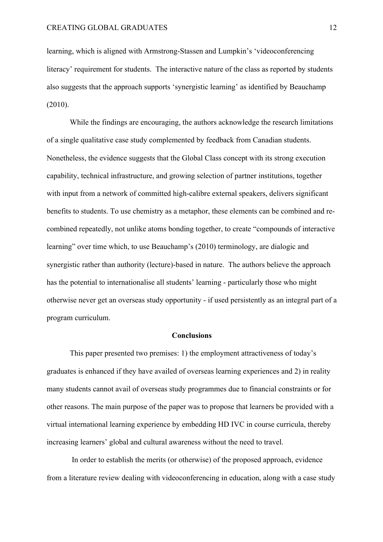learning, which is aligned with Armstrong-Stassen and Lumpkin's 'videoconferencing literacy' requirement for students. The interactive nature of the class as reported by students also suggests that the approach supports 'synergistic learning' as identified by Beauchamp (2010).

While the findings are encouraging, the authors acknowledge the research limitations of a single qualitative case study complemented by feedback from Canadian students. Nonetheless, the evidence suggests that the Global Class concept with its strong execution capability, technical infrastructure, and growing selection of partner institutions, together with input from a network of committed high-calibre external speakers, delivers significant benefits to students. To use chemistry as a metaphor, these elements can be combined and recombined repeatedly, not unlike atoms bonding together, to create "compounds of interactive learning" over time which, to use Beauchamp's (2010) terminology, are dialogic and synergistic rather than authority (lecture)-based in nature. The authors believe the approach has the potential to internationalise all students' learning - particularly those who might otherwise never get an overseas study opportunity - if used persistently as an integral part of a program curriculum.

#### **Conclusions**

This paper presented two premises: 1) the employment attractiveness of today's graduates is enhanced if they have availed of overseas learning experiences and 2) in reality many students cannot avail of overseas study programmes due to financial constraints or for other reasons. The main purpose of the paper was to propose that learners be provided with a virtual international learning experience by embedding HD IVC in course curricula, thereby increasing learners' global and cultural awareness without the need to travel.

In order to establish the merits (or otherwise) of the proposed approach, evidence from a literature review dealing with videoconferencing in education, along with a case study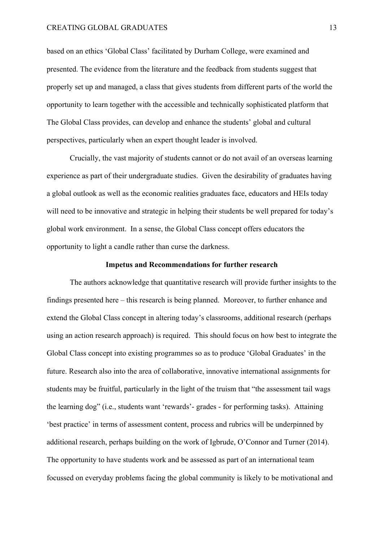#### CREATING GLOBAL GRADUATES 13

based on an ethics 'Global Class' facilitated by Durham College, were examined and presented. The evidence from the literature and the feedback from students suggest that properly set up and managed, a class that gives students from different parts of the world the opportunity to learn together with the accessible and technically sophisticated platform that The Global Class provides, can develop and enhance the students' global and cultural perspectives, particularly when an expert thought leader is involved.

Crucially, the vast majority of students cannot or do not avail of an overseas learning experience as part of their undergraduate studies. Given the desirability of graduates having a global outlook as well as the economic realities graduates face, educators and HEIs today will need to be innovative and strategic in helping their students be well prepared for today's global work environment. In a sense, the Global Class concept offers educators the opportunity to light a candle rather than curse the darkness.

# **Impetus and Recommendations for further research**

The authors acknowledge that quantitative research will provide further insights to the findings presented here – this research is being planned. Moreover, to further enhance and extend the Global Class concept in altering today's classrooms, additional research (perhaps using an action research approach) is required. This should focus on how best to integrate the Global Class concept into existing programmes so as to produce 'Global Graduates' in the future. Research also into the area of collaborative, innovative international assignments for students may be fruitful, particularly in the light of the truism that "the assessment tail wags the learning dog" (i.e., students want 'rewards'- grades - for performing tasks). Attaining 'best practice' in terms of assessment content, process and rubrics will be underpinned by additional research, perhaps building on the work of Igbrude, O'Connor and Turner (2014). The opportunity to have students work and be assessed as part of an international team focussed on everyday problems facing the global community is likely to be motivational and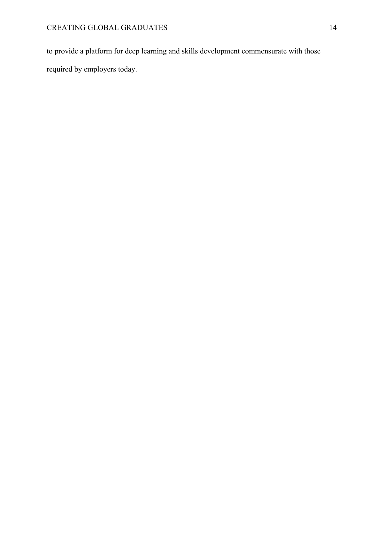to provide a platform for deep learning and skills development commensurate with those required by employers today.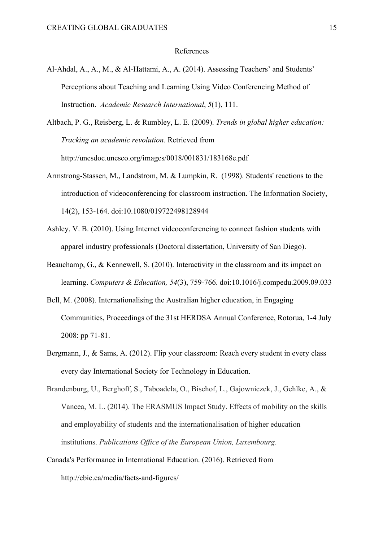#### References

- Al-Ahdal, A., A., M., & Al-Hattami, A., A. (2014). Assessing Teachers' and Students' Perceptions about Teaching and Learning Using Video Conferencing Method of Instruction. *Academic Research International*, *5*(1), 111.
- Altbach, P. G., Reisberg, L. & Rumbley, L. E. (2009). *Trends in global higher education: Tracking an academic revolution*. Retrieved from http://unesdoc.unesco.org/images/0018/001831/183168e.pdf
- Armstrong-Stassen, M., Landstrom, M. & Lumpkin, R. (1998). Students' reactions to the introduction of videoconferencing for classroom instruction. The Information Society, 14(2), 153-164. doi:10.1080/019722498128944
- Ashley, V. B. (2010). Using Internet videoconferencing to connect fashion students with apparel industry professionals (Doctoral dissertation, University of San Diego).
- Beauchamp, G., & Kennewell, S. (2010). Interactivity in the classroom and its impact on learning. *Computers & Education, 54*(3), 759-766. doi:10.1016/j.compedu.2009.09.033
- Bell, M. (2008). Internationalising the Australian higher education, in Engaging Communities, Proceedings of the 31st HERDSA Annual Conference, Rotorua, 1-4 July 2008: pp 71-81.
- Bergmann, J., & Sams, A. (2012). Flip your classroom: Reach every student in every class every day International Society for Technology in Education.
- Brandenburg, U., Berghoff, S., Taboadela, O., Bischof, L., Gajowniczek, J., Gehlke, A., & Vancea, M. L. (2014). The ERASMUS Impact Study. Effects of mobility on the skills and employability of students and the internationalisation of higher education institutions. *Publications Office of the European Union, Luxembourg*.
- Canada's Performance in International Education. (2016). Retrieved from http://cbie.ca/media/facts-and-figures/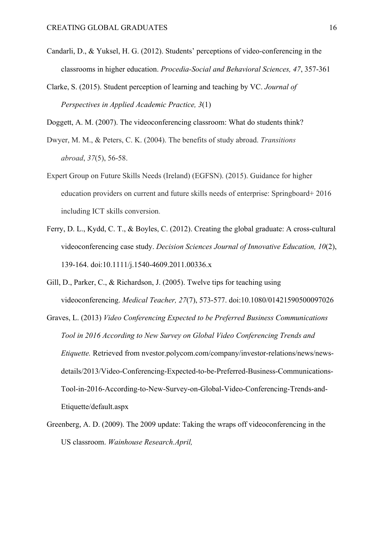- Candarli, D., & Yuksel, H. G. (2012). Students' perceptions of video-conferencing in the classrooms in higher education. *Procedia-Social and Behavioral Sciences, 47*, 357-361
- Clarke, S. (2015). Student perception of learning and teaching by VC. *Journal of Perspectives in Applied Academic Practice, 3*(1)

Doggett, A. M. (2007). The videoconferencing classroom: What do students think?

Dwyer, M. M., & Peters, C. K. (2004). The benefits of study abroad. *Transitions abroad*, *37*(5), 56-58.

- Expert Group on Future Skills Needs (Ireland) (EGFSN). (2015). Guidance for higher education providers on current and future skills needs of enterprise: Springboard+ 2016 including ICT skills conversion.
- Ferry, D. L., Kydd, C. T., & Boyles, C. (2012). Creating the global graduate: A cross-cultural videoconferencing case study. *Decision Sciences Journal of Innovative Education, 10*(2), 139-164. doi:10.1111/j.1540-4609.2011.00336.x
- Gill, D., Parker, C., & Richardson, J. (2005). Twelve tips for teaching using videoconferencing. *Medical Teacher, 27*(7), 573-577. doi:10.1080/01421590500097026
- Graves, L. (2013) *Video Conferencing Expected to be Preferred Business Communications Tool in 2016 According to New Survey on Global Video Conferencing Trends and Etiquette.* Retrieved from nvestor.polycom.com/company/investor-relations/news/newsdetails/2013/Video-Conferencing-Expected-to-be-Preferred-Business-Communications-Tool-in-2016-According-to-New-Survey-on-Global-Video-Conferencing-Trends-and-Etiquette/default.aspx
- Greenberg, A. D. (2009). The 2009 update: Taking the wraps off videoconferencing in the US classroom. *Wainhouse Research.April,*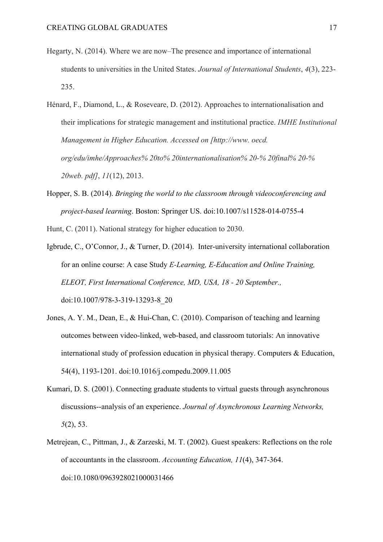- Hegarty, N. (2014). Where we are now–The presence and importance of international students to universities in the United States. *Journal of International Students*, *4*(3), 223- 235.
- Hénard, F., Diamond, L., & Roseveare, D. (2012). Approaches to internationalisation and their implications for strategic management and institutional practice. *IMHE Institutional Management in Higher Education. Accessed on [http://www. oecd. org/edu/imhe/Approaches% 20to% 20internationalisation% 20-% 20final% 20-% 20web. pdf]*, *11*(12), 2013.
- Hopper, S. B. (2014). *Bringing the world to the classroom through videoconferencing and project-based learning*. Boston: Springer US. doi:10.1007/s11528-014-0755-4

Hunt, C. (2011). National strategy for higher education to 2030.

Igbrude, C., O'Connor, J., & Turner, D. (2014). Inter-university international collaboration for an online course: A case Study *E-Learning, E-Education and Online Training, ELEOT, First International Conference, MD, USA, 18 - 20 September.,*  doi:10.1007/978-3-319-13293-8\_20

- Jones, A. Y. M., Dean, E., & Hui-Chan, C. (2010). Comparison of teaching and learning outcomes between video-linked, web-based, and classroom tutorials: An innovative international study of profession education in physical therapy. Computers & Education, 54(4), 1193-1201. doi:10.1016/j.compedu.2009.11.005
- Kumari, D. S. (2001). Connecting graduate students to virtual guests through asynchronous discussions--analysis of an experience. *Journal of Asynchronous Learning Networks, 5*(2), 53.
- Metrejean, C., Pittman, J., & Zarzeski, M. T. (2002). Guest speakers: Reflections on the role of accountants in the classroom. *Accounting Education, 11*(4), 347-364. doi:10.1080/0963928021000031466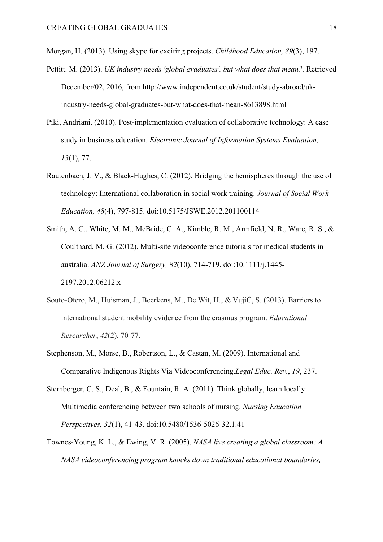Morgan, H. (2013). Using skype for exciting projects. *Childhood Education, 89*(3), 197.

- Pettitt. M. (2013). *UK industry needs 'global graduates'. but what does that mean?.* Retrieved December/02, 2016, from http://www.independent.co.uk/student/study-abroad/ukindustry-needs-global-graduates-but-what-does-that-mean-8613898.html
- Piki, Andriani. (2010). Post-implementation evaluation of collaborative technology: A case study in business education. *Electronic Journal of Information Systems Evaluation, 13*(1), 77.
- Rautenbach, J. V., & Black-Hughes, C. (2012). Bridging the hemispheres through the use of technology: International collaboration in social work training. *Journal of Social Work Education, 48*(4), 797-815. doi:10.5175/JSWE.2012.201100114
- Smith, A. C., White, M. M., McBride, C. A., Kimble, R. M., Armfield, N. R., Ware, R. S., & Coulthard, M. G. (2012). Multi-site videoconference tutorials for medical students in australia. *ANZ Journal of Surgery, 82*(10), 714-719. doi:10.1111/j.1445- 2197.2012.06212.x
- Souto-Otero, M., Huisman, J., Beerkens, M., De Wit, H., & VujiĆ, S. (2013). Barriers to international student mobility evidence from the erasmus program. *Educational Researcher*, *42*(2), 70-77.
- Stephenson, M., Morse, B., Robertson, L., & Castan, M. (2009). International and Comparative Indigenous Rights Via Videoconferencing.*Legal Educ. Rev.*, *19*, 237.
- Sternberger, C. S., Deal, B., & Fountain, R. A. (2011). Think globally, learn locally: Multimedia conferencing between two schools of nursing. *Nursing Education Perspectives, 32*(1), 41-43. doi:10.5480/1536-5026-32.1.41
- Townes-Young, K. L., & Ewing, V. R. (2005). *NASA live creating a global classroom: A NASA videoconferencing program knocks down traditional educational boundaries,*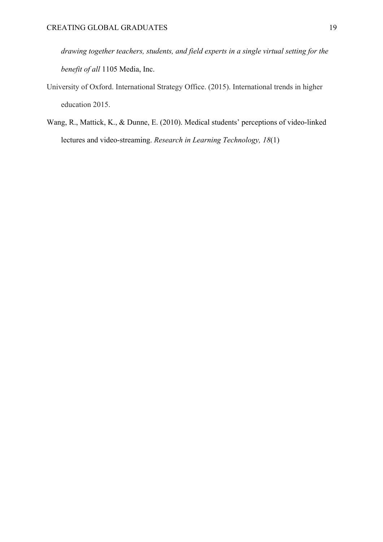*drawing together teachers, students, and field experts in a single virtual setting for the benefit of all* 1105 Media, Inc.

- University of Oxford. International Strategy Office. (2015). International trends in higher education 2015.
- Wang, R., Mattick, K., & Dunne, E. (2010). Medical students' perceptions of video-linked lectures and video-streaming. *Research in Learning Technology, 18*(1)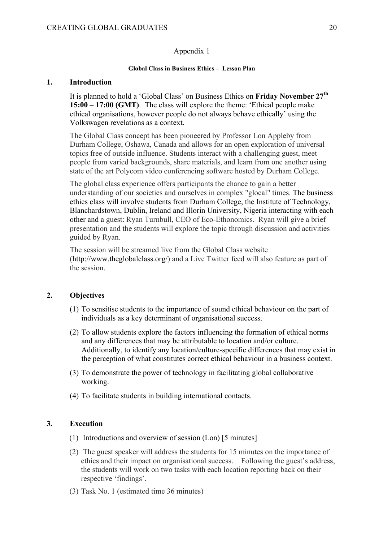#### Appendix 1

#### **Global Class in Business Ethics – Lesson Plan**

# **1. Introduction**

It is planned to hold a 'Global Class' on Business Ethics on **Friday November 27th 15:00 – 17:00 (GMT)**. The class will explore the theme: 'Ethical people make ethical organisations, however people do not always behave ethically' using the Volkswagen revelations as a context.

The Global Class concept has been pioneered by Professor Lon Appleby from Durham College, Oshawa, Canada and allows for an open exploration of universal topics free of outside influence. Students interact with a challenging guest, meet people from varied backgrounds, share materials, and learn from one another using state of the art Polycom video conferencing software hosted by Durham College.

The global class experience offers participants the chance to gain a better understanding of our societies and ourselves in complex "glocal" times. The business ethics class will involve students from Durham College, the Institute of Technology, Blanchardstown, Dublin, Ireland and Illorin University, Nigeria interacting with each other and a guest: Ryan Turnbull, CEO of Eco-Ethonomics. Ryan will give a brief presentation and the students will explore the topic through discussion and activities guided by Ryan.

The session will be streamed live from the Global Class website (http://www.theglobalclass.org/) and a Live Twitter feed will also feature as part of the session.

# **2. Objectives**

- (1) To sensitise students to the importance of sound ethical behaviour on the part of individuals as a key determinant of organisational success.
- (2) To allow students explore the factors influencing the formation of ethical norms and any differences that may be attributable to location and/or culture. Additionally, to identify any location/culture-specific differences that may exist in the perception of what constitutes correct ethical behaviour in a business context.
- (3) To demonstrate the power of technology in facilitating global collaborative working.
- (4) To facilitate students in building international contacts.

#### **3. Execution**

- (1) Introductions and overview of session (Lon) [5 minutes]
- (2) The guest speaker will address the students for 15 minutes on the importance of ethics and their impact on organisational success. Following the guest's address, the students will work on two tasks with each location reporting back on their respective 'findings'.
- (3) Task No. 1 (estimated time 36 minutes)